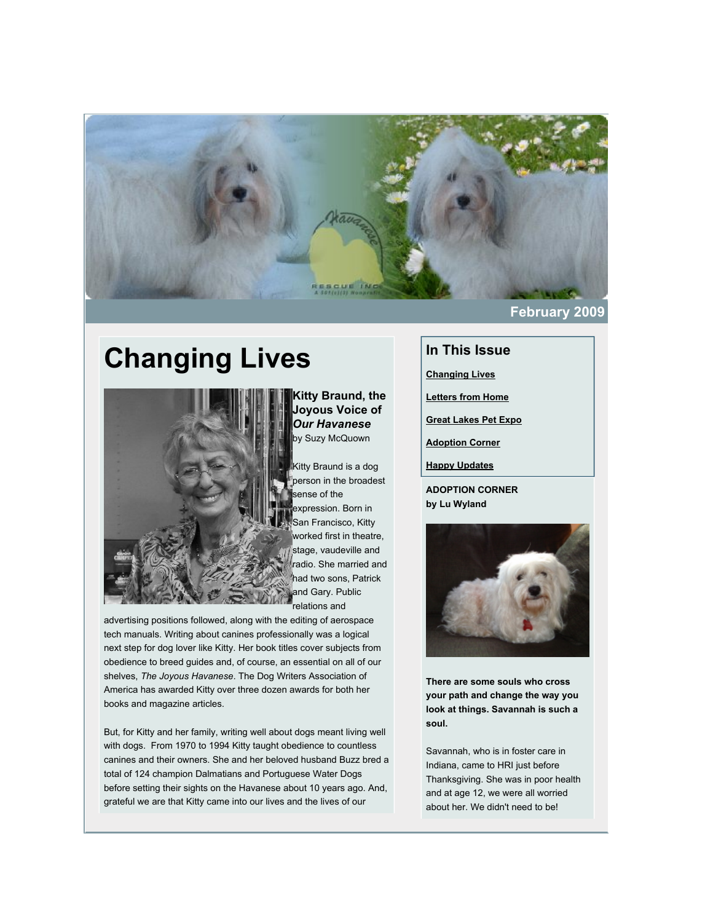

# **Changing Lives**



**Kitty Braund, the Joyous Voice of** *Our Havanese* by Suzy McQuown

Kitty Braund is a dog person in the broadest ense of the expression. Born in San Francisco, Kitty worked first in theatre, stage, vaudeville and radio. She married and had two sons, Patrick and Gary. Public relations and

advertising positions followed, along with the editing of aerospace tech manuals. Writing about canines professionally was a logical next step for dog lover like Kitty. Her book titles cover subjects from obedience to breed guides and, of course, an essential on all of our shelves, *The Joyous Havanese*. The Dog Writers Association of America has awarded Kitty over three dozen awards for both her books and magazine articles.

But, for Kitty and her family, writing well about dogs meant living well with dogs. From 1970 to 1994 Kitty taught obedience to countless canines and their owners. She and her beloved husband Buzz bred a total of 124 champion Dalmatians and Portuguese Water Dogs before setting their sights on the Havanese about 10 years ago. And, grateful we are that Kitty came into our lives and the lives of our

## **In This Issue**

**[Changing Lives](http://mail.google.com/mail/?ui=2&view=bsp&ver=1qygpcgurkovy#11f82a0ff6b57b2d_LETTER.BLOCK15)**

**[Letters from Home](http://mail.google.com/mail/?ui=2&view=bsp&ver=1qygpcgurkovy#11f82a0ff6b57b2d_LETTER.BLOCK16)**

**[Great Lakes Pet Expo](http://mail.google.com/mail/?ui=2&view=bsp&ver=1qygpcgurkovy#11f82a0ff6b57b2d_LETTER.BLOCK17)**

**[Adoption Corner](http://mail.google.com/mail/?ui=2&view=bsp&ver=1qygpcgurkovy#11f82a0ff6b57b2d_LETTER.BLOCK10)**

**[Happy Updates](http://mail.google.com/mail/?ui=2&view=bsp&ver=1qygpcgurkovy#11f82a0ff6b57b2d_LETTER.BLOCK6)**

**ADOPTION CORNER by Lu Wyland**



**There are some souls who cross your path and change the way you look at things. Savannah is such a soul.**

Savannah, who is in foster care in Indiana, came to HRI just before Thanksgiving. She was in poor health and at age 12, we were all worried about her. We didn't need to be!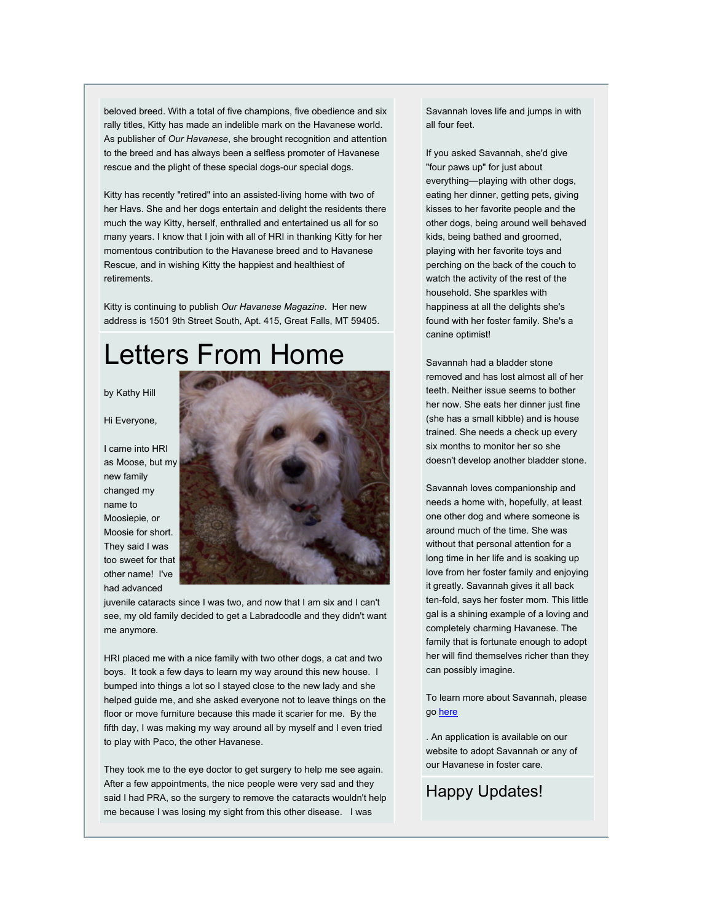beloved breed. With a total of five champions, five obedience and six rally titles, Kitty has made an indelible mark on the Havanese world. As publisher of *Our Havanese*, she brought recognition and attention to the breed and has always been a selfless promoter of Havanese rescue and the plight of these special dogs-our special dogs.

Kitty has recently "retired" into an assisted-living home with two of her Havs. She and her dogs entertain and delight the residents there much the way Kitty, herself, enthralled and entertained us all for so many years. I know that I join with all of HRI in thanking Kitty for her momentous contribution to the Havanese breed and to Havanese Rescue, and in wishing Kitty the happiest and healthiest of retirements.

Kitty is continuing to publish *Our Havanese Magazine*. Her new address is 1501 9th Street South, Apt. 415, Great Falls, MT 59405.

## Letters From Home

by Kathy Hill

Hi Everyone,

I came into HRI as Moose, but my new family changed my name to Moosiepie, or Moosie for short. They said I was too sweet for that other name! I've had advanced



juvenile cataracts since I was two, and now that I am six and I can't see, my old family decided to get a Labradoodle and they didn't want me anymore.

HRI placed me with a nice family with two other dogs, a cat and two boys. It took a few days to learn my way around this new house. I bumped into things a lot so I stayed close to the new lady and she helped guide me, and she asked everyone not to leave things on the floor or move furniture because this made it scarier for me. By the fifth day, I was making my way around all by myself and I even tried to play with Paco, the other Havanese.

They took me to the eye doctor to get surgery to help me see again. After a few appointments, the nice people were very sad and they said I had PRA, so the surgery to remove the cataracts wouldn't help me because I was losing my sight from this other disease. I was

Savannah loves life and jumps in with all four feet.

If you asked Savannah, she'd give "four paws up" for just about everything—playing with other dogs, eating her dinner, getting pets, giving kisses to her favorite people and the other dogs, being around well behaved kids, being bathed and groomed, playing with her favorite toys and perching on the back of the couch to watch the activity of the rest of the household. She sparkles with happiness at all the delights she's found with her foster family. She's a canine optimist!

Savannah had a bladder stone removed and has lost almost all of her teeth. Neither issue seems to bother her now. She eats her dinner just fine (she has a small kibble) and is house trained. She needs a check up every six months to monitor her so she doesn't develop another bladder stone.

Savannah loves companionship and needs a home with, hopefully, at least one other dog and where someone is around much of the time. She was without that personal attention for a long time in her life and is soaking up love from her foster family and enjoying it greatly. Savannah gives it all back ten-fold, says her foster mom. This little gal is a shining example of a loving and completely charming Havanese. The family that is fortunate enough to adopt her will find themselves richer than they can possibly imagine.

To learn more about Savannah, please go [here](http://rs6.net/tn.jsp?et=1102461613880&e=0014i1qPfKYrI0wxuFN_wlgks7-YAyWhabPciqHhXrdEcVXLHcc6YYWYATMZ52qoaIpc41NPgGXoEzV2c0h2Gc9RVFqyH6l51oKgU_XnSOFoBoulqdd9P7xtuoIUCTAf04CUncsNiCwE3v_pUWe884x9QT_rdcf93rTCxjtsRBELaogTluvijKd3_7hpP_REVwYJRX20MUQg5aw5EBCoDWuLgEtoAND5WorGeZvtH6WDKKjRaPXN3_izRY3lVjPzE06SgFv_kgGoSc=)

. An application is available on our website to adopt Savannah or any of our Havanese in foster care.

Happy Updates!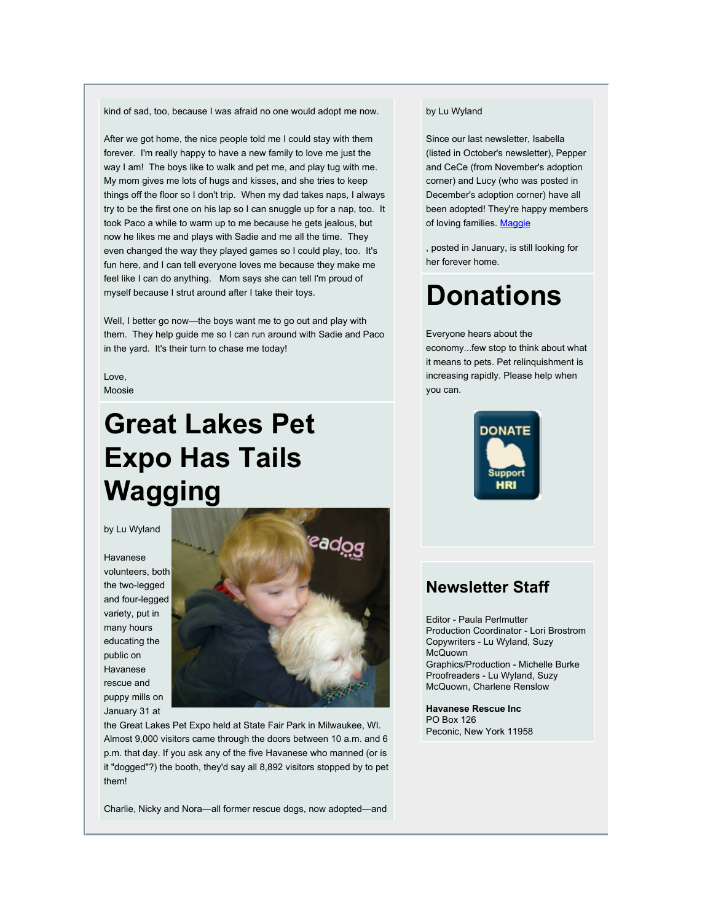kind of sad, too, because I was afraid no one would adopt me now.

After we got home, the nice people told me I could stay with them forever. I'm really happy to have a new family to love me just the way I am! The boys like to walk and pet me, and play tug with me. My mom gives me lots of hugs and kisses, and she tries to keep things off the floor so I don't trip. When my dad takes naps, I always try to be the first one on his lap so I can snuggle up for a nap, too. It took Paco a while to warm up to me because he gets jealous, but now he likes me and plays with Sadie and me all the time. They even changed the way they played games so I could play, too. It's fun here, and I can tell everyone loves me because they make me feel like I can do anything. Mom says she can tell I'm proud of myself because I strut around after I take their toys.

Well, I better go now—the boys want me to go out and play with them. They help guide me so I can run around with Sadie and Paco in the yard. It's their turn to chase me today!

Love, Moosie

# **Great Lakes Pet Expo Has Tails Wagging**

#### by Lu Wyland

Havanese volunteers, both the two-legged and four-legged variety, put in many hours educating the public on Havanese rescue and puppy mills on January 31 at



the Great Lakes Pet Expo held at State Fair Park in Milwaukee, WI. Almost 9,000 visitors came through the doors between 10 a.m. and 6 p.m. that day. If you ask any of the five Havanese who manned (or is it "dogged"?) the booth, they'd say all 8,892 visitors stopped by to pet them!

Charlie, Nicky and Nora—all former rescue dogs, now adopted—and

#### by Lu Wyland

Since our last newsletter, Isabella (listed in October's newsletter), Pepper and CeCe (from November's adoption corner) and Lucy (who was posted in December's adoption corner) have all been adopted! They're happy members of loving families. [Maggie](http://rs6.net/tn.jsp?et=1102461613880&e=0014i1qPfKYrI1YSzFCqNk8PGHqrLnfkKUbbWhfQYPlBKRMs1HwiXL5WdJPGkGQaf8XoBWZDMM2PlU9BveEQCWl3IQHoyNdcJzAYuX4GGyFOS2dWkSVO3rorbqddBb7X21KQ7ELa0jbughhFIXclQQhRU_gU1PTmCMLesqEnC3pXIQJ2jEMHzRdNHl1rNsMGKLM3_WDg0llkp7xF6N2f1jDG7o3uy3zt6OuJeZBuO1aRNw3uLeOF8ZdqH1TNCxQGQwZaIJz1_s-rok=)

, posted in January, is still looking for her forever home.

# **Donations**

#### Everyone hears about the

economy...few stop to think about what it means to pets. Pet relinquishment is increasing rapidly. Please help when you can.



### **Newsletter Staff**

Editor - Paula Perlmutter Production Coordinator - Lori Brostrom Copywriters - Lu Wyland, Suzy McQuown Graphics/Production - Michelle Burke Proofreaders - Lu Wyland, Suzy McQuown, Charlene Renslow

**Havanese Rescue Inc** PO Box 126 Peconic, New York 11958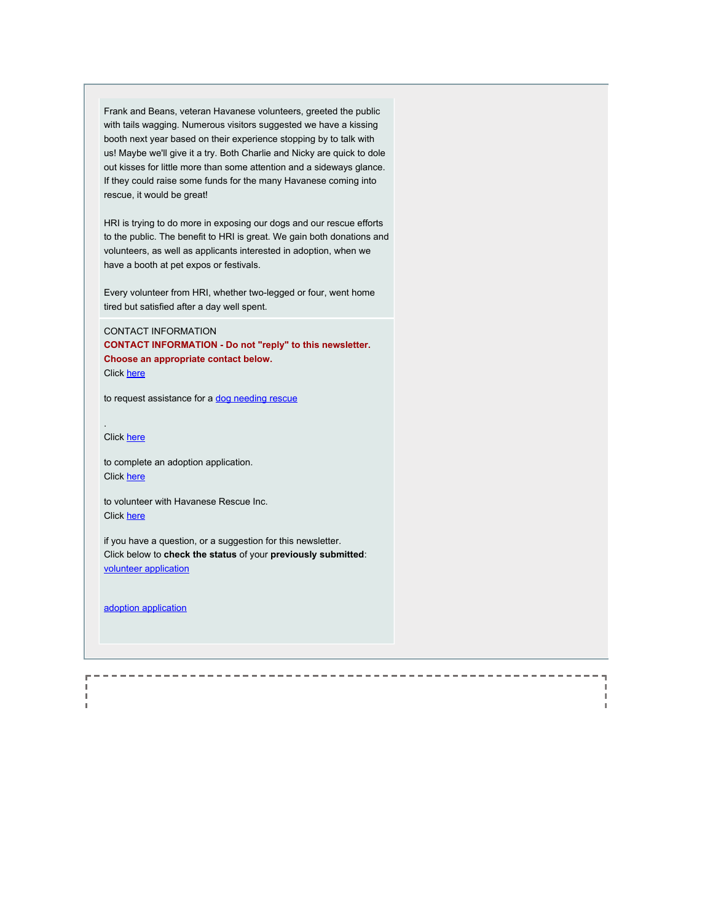Frank and Beans, veteran Havanese volunteers, greeted the public with tails wagging. Numerous visitors suggested we have a kissing booth next year based on their experience stopping by to talk with us! Maybe we'll give it a try. Both Charlie and Nicky are quick to dole out kisses for little more than some attention and a sideways glance. If they could raise some funds for the many Havanese coming into rescue, it would be great!

HRI is trying to do more in exposing our dogs and our rescue efforts to the public. The benefit to HRI is great. We gain both donations and volunteers, as well as applicants interested in adoption, when we have a booth at pet expos or festivals.

Every volunteer from HRI, whether two-legged or four, went home tired but satisfied after a day well spent.

CONTACT INFORMATION **CONTACT INFORMATION - Do not "reply" to this newsletter. Choose an appropriate contact below.** Click [here](http://rs6.net/tn.jsp?et=1102461613880&e=0014i1qPfKYrI07SrZcvkPTCJoNyys-wWUhZUwpUK_cChaV723oNfwIGOEhF2GdqSYeL1P64-LcU4HtDEnL2N9VWgv7wPr0BEgmZ-I0Vu1s27wLFjiqkNtST8BTLGBwbr6R7eST7wUCLgo=)

to request assistance for a [dog needing rescue](http://rs6.net/tn.jsp?et=1102461613880&e=0014i1qPfKYrI07SrZcvkPTCJoNyys-wWUhZUwpUK_cChaV723oNfwIGOEhF2GdqSYeL1P64-LcU4HtDEnL2N9VWgv7wPr0BEgmZ-I0Vu1s27wLFjiqkNtST8BTLGBwbr6R7eST7wUCLgo=)

Click [here](http://rs6.net/tn.jsp?et=1102461613880&e=0014i1qPfKYrI0e5fa4GXfQzgtyDyjT56CtwqIRJVwbq32CZK5scp4X2nig7FRWSJPv_nMVPkSLlrobTozRx3zTQJUOmnqQDRLgCztsr3U_Ro8T17M_2eJsnC0sYATcztiIJXb0pW84PGw=)

.

'n

to complete an adoption application. Click [here](http://rs6.net/tn.jsp?et=1102461613880&e=0014i1qPfKYrI2A1j_pz9t37_Zo9qRr3DutjySTTDLLBLK7Xrq_FZf03_mcCldhbeaixZJU5HRtFBH9thi-FOJrRP_X9JEzO8CGOmAcfR0tw8qq0fMdEJD70w4l89_Ws4DVFzl5fkcRggtpCNRYzUi72E_pn-c-KjRjxnmkmZQnxuvKLM5Rdz3okAOT4xLEXOMZ)

to volunteer with Havanese Rescue Inc. Click [here](http://rs6.net/tn.jsp?et=1102461613880&e=0014i1qPfKYrI3H4ht66UeRzK1igntw537bNFLJE77w8Mv3GdkCIZZvCvQ0D8RPh9PpNej5bWvHE5hvqmKpbFUUQ-Z9vSwtXgzUTmhlzeqmsgSZTTvZJ52kY6_Xl42DRs4VIMoWLnmokGfzNXi1BV-ug5_2XrXX--uQKZoiF7jBjgLGqKCRYofLeJkqliytYAUBFXolMBJlzoV3TENxZ5WSOpx3LI_E8C9P)

if you have a question, or a suggestion for this newsletter. Click below to **check the status** of your **previously submitted**: [volunteer application](http://rs6.net/tn.jsp?et=1102461613880&e=0014i1qPfKYrI0NiXumKGHLB22IT6YB7pzOjrTwP5F1OOzITkfVk6rOfQ9nWcOnfgIEdSg9wSfuKR9YUxoMDTYfIXFJO_G4sSxuu-vf8B4OTyPDQl6SUkB5HHPO5N9zzWNNXkPY95CovEiDGEch8MR2CuxfifE8RINkRI70GVIfobgnETjRddjF6MsaT1CYNQTiFSrQBdkcVOp1pnbIvZzhQyHt-tdCUDQDGbasjZnGqeIRTzRCSLUHtppDkKP2a2vRNulpHmSleCnHMKJJ0Yd9OV-hauUC_ZP8iSCQPsjV24ji41ERFGxmQg==)

H.

[adoption application](http://rs6.net/tn.jsp?et=1102461613880&e=0014i1qPfKYrI1kDTrx6ZFhTt6fwcfvC1sBv7lYSkB9st8dbFS2EeD_HTmCuAy8R3y0EwqbGA8zwIXP8je8wrLyOFwtouNef8YAWpGZnhFFpncQFyErBCoPPuobmhWHLMSaOX_UGmX0Nqo=)